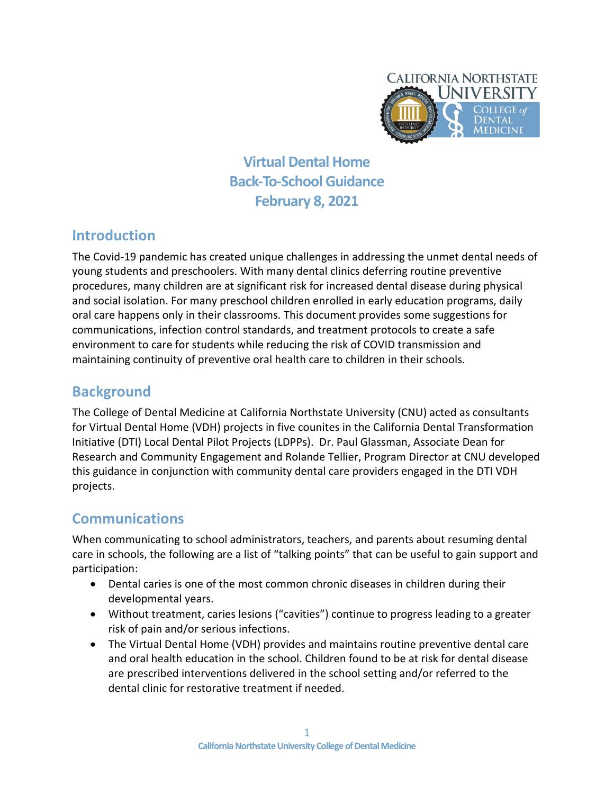

**Virtual Dental Home Back-To-School Guidance February 8, 2021**

## **Introduction**

The Covid-19 pandemic has created unique challenges in addressing the unmet dental needs of young students and preschoolers. With many dental clinics deferring routine preventive procedures, many children are at significant risk for increased dental disease during physical and social isolation. For many preschool children enrolled in early education programs, daily oral care happens only in their classrooms. This document provides some suggestions for communications, infection control standards, and treatment protocols to create a safe environment to care for students while reducing the risk of COVID transmission and maintaining continuity of preventive oral health care to children in their schools.

## **Background**

The College of Dental Medicine at California Northstate University (CNU) acted as consultants for Virtual Dental Home (VDH) projects in five counites in the California Dental Transformation Initiative (DTI) Local Dental Pilot Projects (LDPPs). Dr. Paul Glassman, Associate Dean for Research and Community Engagement and Rolande Tellier, Program Director at CNU developed this guidance in conjunction with community dental care providers engaged in the DTI VDH projects.

### **Communications**

When communicating to school administrators, teachers, and parents about resuming dental care in schools, the following are a list of "talking points" that can be useful to gain support and participation:

- Dental caries is one of the most common chronic diseases in children during their developmental years.
- Without treatment, caries lesions ("cavities") continue to progress leading to a greater risk of pain and/or serious infections.
- The Virtual Dental Home (VDH) provides and maintains routine preventive dental care and oral health education in the school. Children found to be at risk for dental disease are prescribed interventions delivered in the school setting and/or referred to the dental clinic for restorative treatment if needed.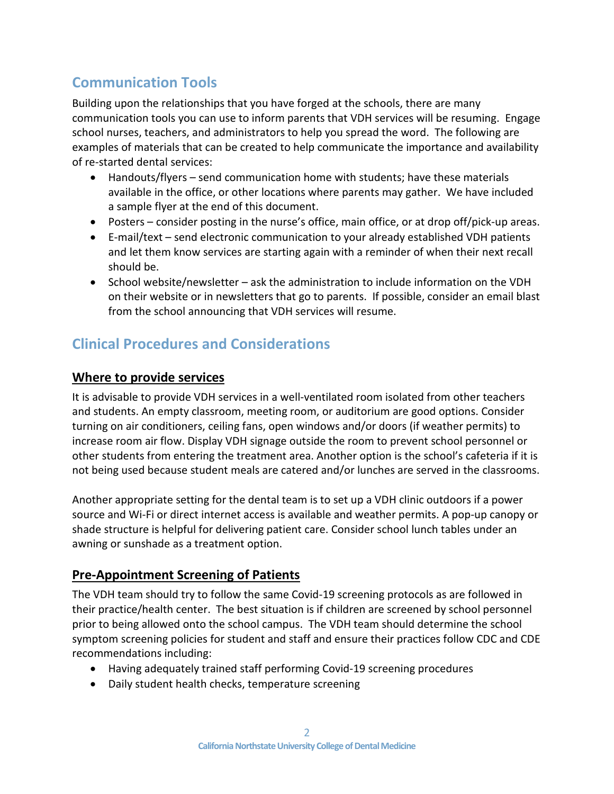# **Communication Tools**

Building upon the relationships that you have forged at the schools, there are many communication tools you can use to inform parents that VDH services will be resuming. Engage school nurses, teachers, and administrators to help you spread the word. The following are examples of materials that can be created to help communicate the importance and availability of re-started dental services:

- Handouts/flyers send communication home with students; have these materials available in the office, or other locations where parents may gather. We have included a sample flyer at the end of this document.
- Posters consider posting in the nurse's office, main office, or at drop off/pick-up areas.
- E-mail/text send electronic communication to your already established VDH patients and let them know services are starting again with a reminder of when their next recall should be.
- School website/newsletter ask the administration to include information on the VDH on their website or in newsletters that go to parents. If possible, consider an email blast from the school announcing that VDH services will resume.

## **Clinical Procedures and Considerations**

#### **Where to provide services**

It is advisable to provide VDH services in a well-ventilated room isolated from other teachers and students. An empty classroom, meeting room, or auditorium are good options. Consider turning on air conditioners, ceiling fans, open windows and/or doors (if weather permits) to increase room air flow. Display VDH signage outside the room to prevent school personnel or other students from entering the treatment area. Another option is the school's cafeteria if it is not being used because student meals are catered and/or lunches are served in the classrooms.

Another appropriate setting for the dental team is to set up a VDH clinic outdoors if a power source and Wi-Fi or direct internet access is available and weather permits. A pop-up canopy or shade structure is helpful for delivering patient care. Consider school lunch tables under an awning or sunshade as a treatment option.

#### **Pre-Appointment Screening of Patients**

The VDH team should try to follow the same Covid-19 screening protocols as are followed in their practice/health center. The best situation is if children are screened by school personnel prior to being allowed onto the school campus. The VDH team should determine the school symptom screening policies for student and staff and ensure their practices follow CDC and CDE recommendations including:

- Having adequately trained staff performing Covid-19 screening procedures
- Daily student health checks, temperature screening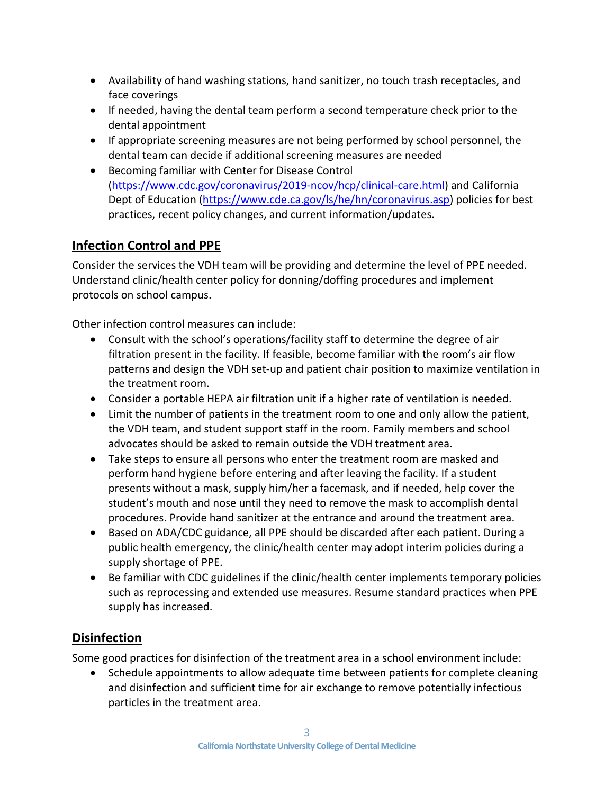- Availability of hand washing stations, hand sanitizer, no touch trash receptacles, and face coverings
- If needed, having the dental team perform a second temperature check prior to the dental appointment
- If appropriate screening measures are not being performed by school personnel, the dental team can decide if additional screening measures are needed
- Becoming familiar with Center for Disease Control [\(https://www.cdc.gov/coronavirus/2019-ncov/hcp/clinical-care.html\)](https://www.cdc.gov/coronavirus/2019-ncov/hcp/clinical-care.html) and California Dept of Education [\(https://www.cde.ca.gov/ls/he/hn/coronavirus.asp\)](https://www.cde.ca.gov/ls/he/hn/coronavirus.asp) policies for best practices, recent policy changes, and current information/updates.

### **Infection Control and PPE**

Consider the services the VDH team will be providing and determine the level of PPE needed. Understand clinic/health center policy for donning/doffing procedures and implement protocols on school campus.

Other infection control measures can include:

- Consult with the school's operations/facility staff to determine the degree of air filtration present in the facility. If feasible, become familiar with the room's air flow patterns and design the VDH set-up and patient chair position to maximize ventilation in the treatment room.
- Consider a portable HEPA air filtration unit if a higher rate of ventilation is needed.
- Limit the number of patients in the treatment room to one and only allow the patient, the VDH team, and student support staff in the room. Family members and school advocates should be asked to remain outside the VDH treatment area.
- Take steps to ensure all persons who enter the treatment room are masked and perform hand hygiene before entering and after leaving the facility. If a student presents without a mask, supply him/her a facemask, and if needed, help cover the student's mouth and nose until they need to remove the mask to accomplish dental procedures. Provide hand sanitizer at the entrance and around the treatment area.
- Based on ADA/CDC guidance, all PPE should be discarded after each patient. During a public health emergency, the clinic/health center may adopt interim policies during a supply shortage of PPE.
- Be familiar with CDC guidelines if the clinic/health center implements temporary policies such as reprocessing and extended use measures. Resume standard practices when PPE supply has increased.

### **Disinfection**

Some good practices for disinfection of the treatment area in a school environment include:

• Schedule appointments to allow adequate time between patients for complete cleaning and disinfection and sufficient time for air exchange to remove potentially infectious particles in the treatment area.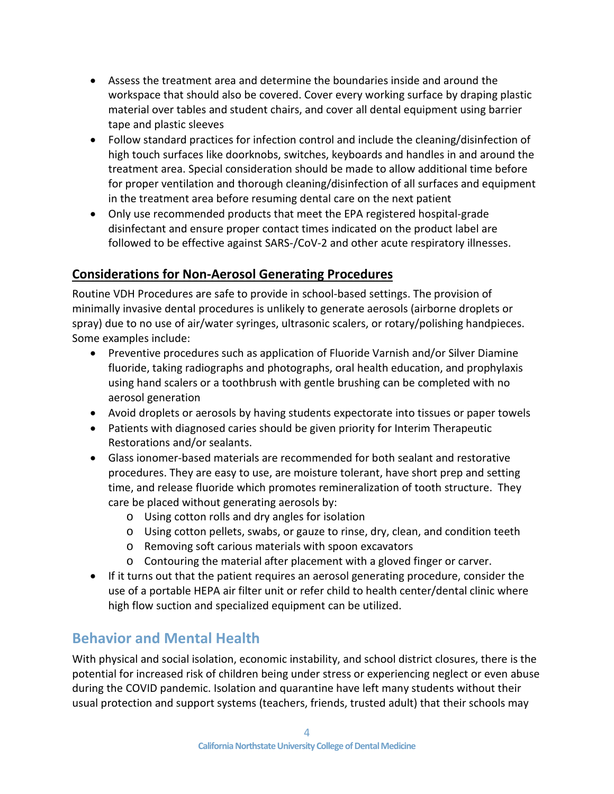- Assess the treatment area and determine the boundaries inside and around the workspace that should also be covered. Cover every working surface by draping plastic material over tables and student chairs, and cover all dental equipment using barrier tape and plastic sleeves
- Follow standard practices for infection control and include the cleaning/disinfection of high touch surfaces like doorknobs, switches, keyboards and handles in and around the treatment area. Special consideration should be made to allow additional time before for proper ventilation and thorough cleaning/disinfection of all surfaces and equipment in the treatment area before resuming dental care on the next patient
- Only use recommended products that meet the EPA registered hospital-grade disinfectant and ensure proper contact times indicated on the product label are followed to be effective against SARS-/CoV-2 and other acute respiratory illnesses.

### **Considerations for Non-Aerosol Generating Procedures**

Routine VDH Procedures are safe to provide in school-based settings. The provision of minimally invasive dental procedures is unlikely to generate aerosols (airborne droplets or spray) due to no use of air/water syringes, ultrasonic scalers, or rotary/polishing handpieces. Some examples include:

- Preventive procedures such as application of Fluoride Varnish and/or Silver Diamine fluoride, taking radiographs and photographs, oral health education, and prophylaxis using hand scalers or a toothbrush with gentle brushing can be completed with no aerosol generation
- Avoid droplets or aerosols by having students expectorate into tissues or paper towels
- Patients with diagnosed caries should be given priority for Interim Therapeutic Restorations and/or sealants.
- Glass ionomer-based materials are recommended for both sealant and restorative procedures. They are easy to use, are moisture tolerant, have short prep and setting time, and release fluoride which promotes remineralization of tooth structure. They care be placed without generating aerosols by:
	- o Using cotton rolls and dry angles for isolation
	- o Using cotton pellets, swabs, or gauze to rinse, dry, clean, and condition teeth
	- o Removing soft carious materials with spoon excavators
	- o Contouring the material after placement with a gloved finger or carver.
- If it turns out that the patient requires an aerosol generating procedure, consider the use of a portable HEPA air filter unit or refer child to health center/dental clinic where high flow suction and specialized equipment can be utilized.

## **Behavior and Mental Health**

With physical and social isolation, economic instability, and school district closures, there is the potential for increased risk of children being under stress or experiencing neglect or even abuse during the COVID pandemic. Isolation and quarantine have left many students without their usual protection and support systems (teachers, friends, trusted adult) that their schools may